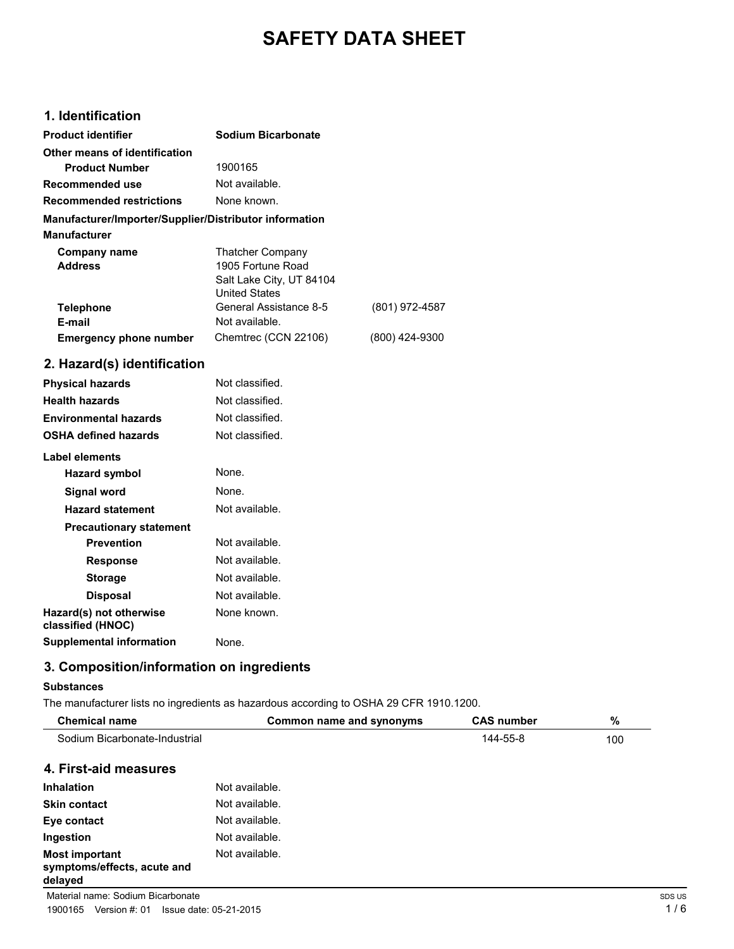# **SAFETY DATA SHEET**

# **1. Identification**

| <b>Product identifier</b>                              | Sodium Bicarbonate                                                                               |                |
|--------------------------------------------------------|--------------------------------------------------------------------------------------------------|----------------|
| Other means of identification                          |                                                                                                  |                |
| <b>Product Number</b>                                  | 1900165                                                                                          |                |
| Recommended use                                        | Not available.                                                                                   |                |
| <b>Recommended restrictions</b>                        | None known.                                                                                      |                |
| Manufacturer/Importer/Supplier/Distributor information |                                                                                                  |                |
| <b>Manufacturer</b>                                    |                                                                                                  |                |
| Company name<br><b>Address</b>                         | <b>Thatcher Company</b><br>1905 Fortune Road<br>Salt Lake City, UT 84104<br><b>United States</b> |                |
| <b>Telephone</b>                                       | General Assistance 8-5                                                                           | (801) 972-4587 |
| E-mail                                                 | Not available.                                                                                   |                |
| <b>Emergency phone number</b>                          | Chemtrec (CCN 22106)                                                                             | (800) 424-9300 |
| 2. Hazard(s) identification                            |                                                                                                  |                |
| <b>Physical hazards</b>                                | Not classified.                                                                                  |                |
| <b>Health hazards</b>                                  | Not classified.                                                                                  |                |
| <b>Environmental hazards</b>                           | Not classified.                                                                                  |                |
| OSHA defined hazards                                   | Not classified.                                                                                  |                |

| Label elements                               |                |
|----------------------------------------------|----------------|
| <b>Hazard symbol</b>                         | None.          |
| Signal word                                  | None.          |
| <b>Hazard statement</b>                      | Not available. |
| <b>Precautionary statement</b>               |                |
| <b>Prevention</b>                            | Not available. |
| Response                                     | Not available. |
| <b>Storage</b>                               | Not available. |
| <b>Disposal</b>                              | Not available. |
| Hazard(s) not otherwise<br>classified (HNOC) | None known.    |
| <b>Supplemental information</b>              | None           |

# **3. Composition/information on ingredients**

## **Substances**

The manufacturer lists no ingredients as hazardous according to OSHA 29 CFR 1910.1200.

| <b>Chemical name</b>                                            | Common name and synonyms | <b>CAS number</b> | %   |
|-----------------------------------------------------------------|--------------------------|-------------------|-----|
| Sodium Bicarbonate-Industrial                                   |                          | 144-55-8          | 100 |
| 4. First-aid measures                                           |                          |                   |     |
| <b>Inhalation</b>                                               | Not available.           |                   |     |
| <b>Skin contact</b>                                             | Not available.           |                   |     |
| Eye contact                                                     | Not available.           |                   |     |
| Ingestion                                                       | Not available.           |                   |     |
| <b>Most important</b><br>symptoms/effects, acute and<br>delayed | Not available.           |                   |     |

Material name: Sodium Bicarbonate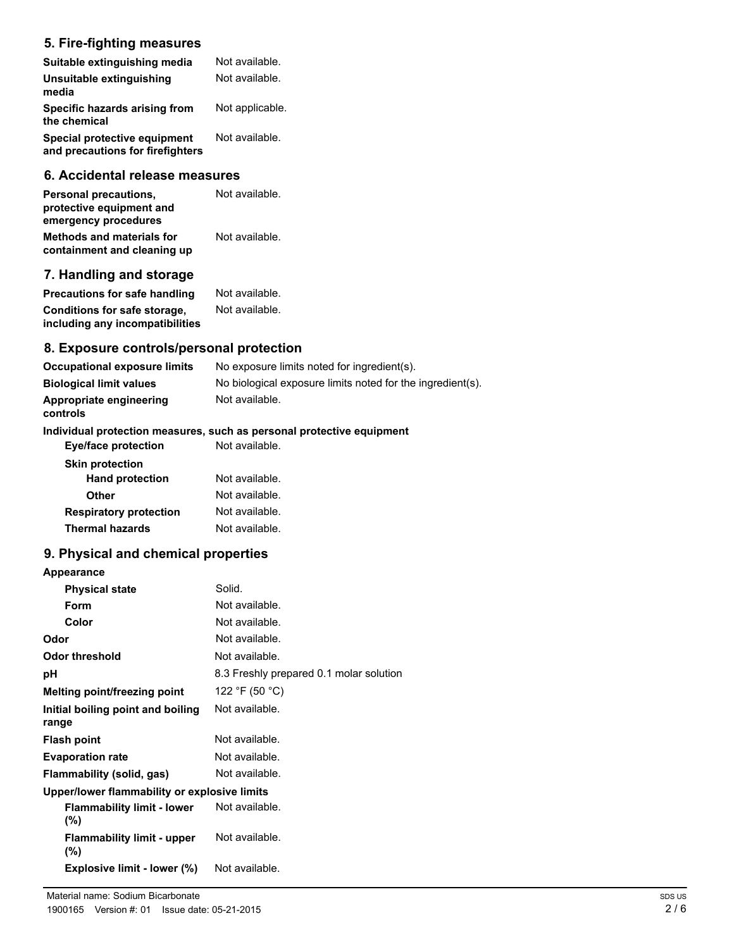# **5. Fire-fighting measures**

| Suitable extinguishing media                                     | Not available.  |
|------------------------------------------------------------------|-----------------|
| Unsuitable extinguishing<br>media                                | Not available.  |
| Specific hazards arising from<br>the chemical                    | Not applicable. |
| Special protective equipment<br>and precautions for firefighters | Not available.  |

### **6. Accidental release measures**

| Personal precautions,<br>protective equipment and<br>emergency procedures | Not available. |  |
|---------------------------------------------------------------------------|----------------|--|
| <b>Methods and materials for</b><br>containment and cleaning up           | Not available. |  |

# **7. Handling and storage**

| <b>Precautions for safe handling</b> | Not available. |
|--------------------------------------|----------------|
| <b>Conditions for safe storage,</b>  | Not available. |
| including any incompatibilities      |                |

## **8. Exposure controls/personal protection**

| Occupational exposure limits        | No exposure limits noted for ingredient(s).                |
|-------------------------------------|------------------------------------------------------------|
| <b>Biological limit values</b>      | No biological exposure limits noted for the ingredient(s). |
| Appropriate engineering<br>controls | Not available.                                             |

## **Individual protection measures, such as personal protective equipment**

| <b>Eye/face protection</b>    | Not available. |
|-------------------------------|----------------|
| <b>Skin protection</b>        |                |
| <b>Hand protection</b>        | Not available. |
| Other                         | Not available. |
| <b>Respiratory protection</b> | Not available. |
| <b>Thermal hazards</b>        | Not available. |

## **9. Physical and chemical properties**

| <b>Appearance</b>                            |                                         |  |
|----------------------------------------------|-----------------------------------------|--|
| <b>Physical state</b>                        | Solid.                                  |  |
| Form                                         | Not available.                          |  |
| Color                                        | Not available.                          |  |
| Odor                                         | Not available.                          |  |
| Odor threshold                               | Not available.                          |  |
| рH                                           | 8.3 Freshly prepared 0.1 molar solution |  |
| Melting point/freezing point                 | 122 °F (50 °C)                          |  |
| Initial boiling point and boiling<br>range   | Not available.                          |  |
| <b>Flash point</b>                           | Not available.                          |  |
| <b>Evaporation rate</b>                      | Not available.                          |  |
| Flammability (solid, gas)                    | Not available.                          |  |
| Upper/lower flammability or explosive limits |                                         |  |
| <b>Flammability limit - lower</b><br>$(\% )$ | Not available.                          |  |
| <b>Flammability limit - upper</b><br>(%)     | Not available.                          |  |
| Explosive limit - lower (%)                  | Not available.                          |  |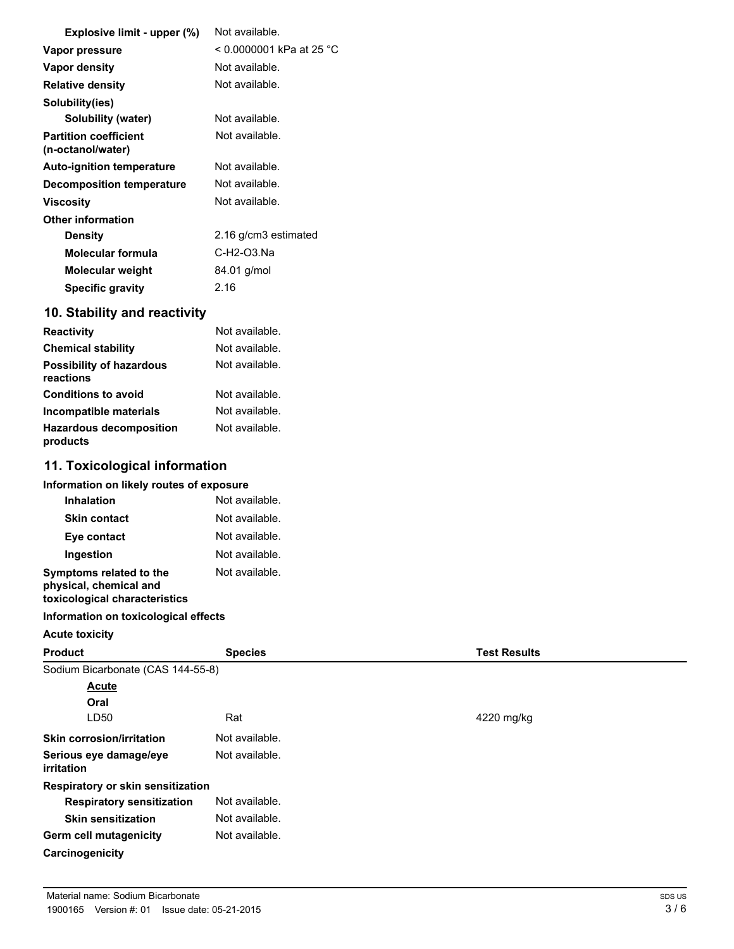| Explosive limit - upper (%)                       | Not available.           |
|---------------------------------------------------|--------------------------|
| Vapor pressure                                    | < 0.0000001 kPa at 25 °C |
| <b>Vapor density</b>                              | Not available.           |
| <b>Relative density</b>                           | Not available.           |
| Solubility(ies)                                   |                          |
| <b>Solubility (water)</b>                         | Not available.           |
| <b>Partition coefficient</b><br>(n-octanol/water) | Not available.           |
| <b>Auto-ignition temperature</b>                  | Not available.           |
| <b>Decomposition temperature</b>                  | Not available.           |
| Viscosity                                         | Not available.           |
| <b>Other information</b>                          |                          |
| <b>Density</b>                                    | 2.16 g/cm3 estimated     |
| Molecular formula                                 | C-H2-O3.Na               |
| Molecular weight                                  | 84.01 g/mol              |
| <b>Specific gravity</b>                           | 2.16                     |
| 10. Stability and reactivity                      |                          |
| <b>Reactivity</b>                                 | Not available.           |
| <b>Chemical stability</b>                         | Not available.           |
| <b>Possibility of hazardous</b><br>reactions      | Not available.           |

| .                                          |                |
|--------------------------------------------|----------------|
| <b>Conditions to avoid</b>                 | Not available. |
| Incompatible materials                     | Not available. |
| <b>Hazardous decomposition</b><br>products | Not available. |

# **11. Toxicological information**

| Information on likely routes of exposure                                           |                |  |
|------------------------------------------------------------------------------------|----------------|--|
| <b>Inhalation</b>                                                                  | Not available. |  |
| <b>Skin contact</b>                                                                | Not available. |  |
| Eye contact                                                                        | Not available. |  |
| Ingestion                                                                          | Not available. |  |
| Symptoms related to the<br>physical, chemical and<br>toxicological characteristics | Not available. |  |

## **Information on toxicological effects**

## **Acute toxicity**

| <b>Product</b>                              | <b>Species</b> | <b>Test Results</b> |
|---------------------------------------------|----------------|---------------------|
| Sodium Bicarbonate (CAS 144-55-8)           |                |                     |
| Acute                                       |                |                     |
| Oral                                        |                |                     |
| LD50                                        | Rat            | 4220 mg/kg          |
| <b>Skin corrosion/irritation</b>            | Not available. |                     |
| Serious eye damage/eye<br><i>irritation</i> | Not available. |                     |
| <b>Respiratory or skin sensitization</b>    |                |                     |
| <b>Respiratory sensitization</b>            | Not available. |                     |
| <b>Skin sensitization</b>                   | Not available. |                     |
| <b>Germ cell mutagenicity</b>               | Not available. |                     |
| Carcinogenicity                             |                |                     |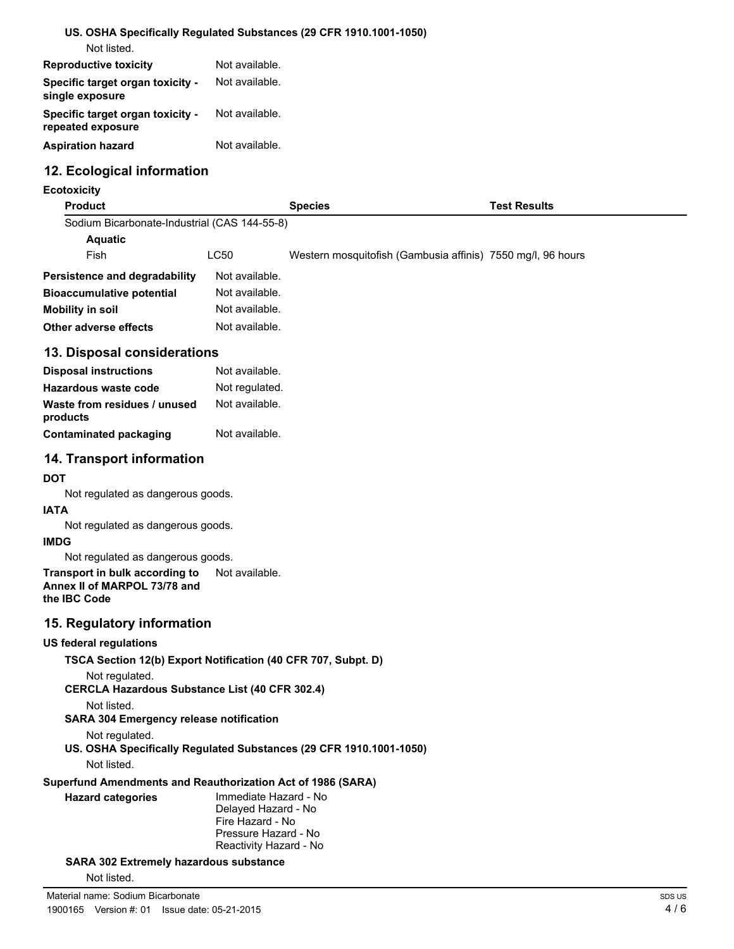### **US. OSHA Specifically Regulated Substances (29 CFR 1910.1001-1050)** Not listed.

| <b>Reproductive toxicity</b>                                 | Not available. |
|--------------------------------------------------------------|----------------|
| Specific target organ toxicity -<br>single exposure          | Not available. |
| <b>Specific target organ toxicity -</b><br>repeated exposure | Not available. |
| <b>Aspiration hazard</b>                                     | Not available. |

## **12. Ecological information**

### **Ecotoxicity**

| <b>Product</b>                               |                | <b>Species</b>                                              | Test Results |
|----------------------------------------------|----------------|-------------------------------------------------------------|--------------|
| Sodium Bicarbonate-Industrial (CAS 144-55-8) |                |                                                             |              |
| <b>Aquatic</b>                               |                |                                                             |              |
| Fish                                         | LC50           | Western mosquitofish (Gambusia affinis) 7550 mg/l, 96 hours |              |
| Persistence and degradability                | Not available. |                                                             |              |
| <b>Bioaccumulative potential</b>             | Not available. |                                                             |              |
| Mobility in soil                             | Not available. |                                                             |              |
| Other adverse effects                        | Not available. |                                                             |              |
| 13. Disposal considerations                  |                |                                                             |              |
| <b>Disposal instructions</b>                 | Not available. |                                                             |              |
|                                              |                |                                                             |              |

| Hazardous waste code                     | Not regulated. |
|------------------------------------------|----------------|
| Waste from residues / unused<br>products | Not available. |
| <b>Contaminated packaging</b>            | Not available. |

## **14. Transport information**

## **DOT**

Not regulated as dangerous goods.

# **IATA**

Not regulated as dangerous goods.

## **IMDG**

Not regulated as dangerous goods.

#### **Transport in bulk according to** Not available. **Annex II of MARPOL 73/78 and the IBC Code**

## **15. Regulatory information**

## **US federal regulations**

**TSCA Section 12(b) Export Notification (40 CFR 707, Subpt. D)**

```
Not regulated.
```
**CERCLA Hazardous Substance List (40 CFR 302.4)**

Not listed.

## **SARA 304 Emergency release notification**

Not regulated.

**US. OSHA Specifically Regulated Substances (29 CFR 1910.1001-1050)** Not listed.

### **Superfund Amendments and Reauthorization Act of 1986 (SARA)**

| Hazard categories |  |  |
|-------------------|--|--|
|-------------------|--|--|

Immediate Hazard - No Delayed Hazard - No Fire Hazard - No Pressure Hazard - No Reactivity Hazard - No

**SARA 302 Extremely hazardous substance**

Not listed.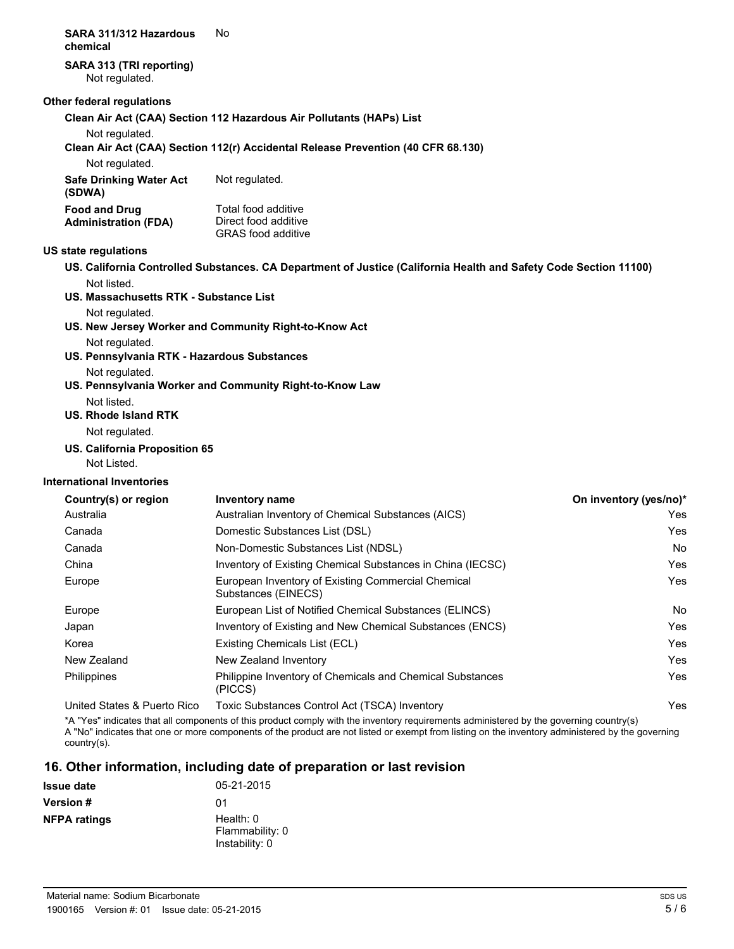#### **SARA 311/312 Hazardous** No **chemical**

# **SARA 313 (TRI reporting)**

Not regulated.

### **Other federal regulations**

**Clean Air Act (CAA) Section 112 Hazardous Air Pollutants (HAPs) List**

Not regulated.

**Clean Air Act (CAA) Section 112(r) Accidental Release Prevention (40 CFR 68.130)**

Not regulated.

| Safe Drinking Water Act<br>(SDWA) | Not regulated.            |
|-----------------------------------|---------------------------|
| <b>Food and Drug</b>              | Total food additive       |
| <b>Administration (FDA)</b>       | Direct food additive      |
|                                   | <b>GRAS</b> food additive |

### **US state regulations**

- **US. California Controlled Substances. CA Department of Justice (California Health and Safety Code Section 11100)** Not listed.
- **US. Massachusetts RTK Substance List**

### Not regulated.

- **US. New Jersey Worker and Community Right-to-Know Act**
	- Not regulated.
- **US. Pennsylvania RTK Hazardous Substances**

Not regulated.

- **US. Pennsylvania Worker and Community Right-to-Know Law**
	- Not listed.

# **US. Rhode Island RTK**

Not regulated.

**US. California Proposition 65**

Not Listed.

## **International Inventories**

| Country(s) or region        | Inventory name                                                            | On inventory (yes/no)* |
|-----------------------------|---------------------------------------------------------------------------|------------------------|
| Australia                   | Australian Inventory of Chemical Substances (AICS)                        | Yes                    |
| Canada                      | Domestic Substances List (DSL)                                            | Yes                    |
| Canada                      | Non-Domestic Substances List (NDSL)                                       | No                     |
| China                       | Inventory of Existing Chemical Substances in China (IECSC)                | Yes                    |
| Europe                      | European Inventory of Existing Commercial Chemical<br>Substances (EINECS) | Yes                    |
| Europe                      | European List of Notified Chemical Substances (ELINCS)                    | No                     |
| Japan                       | Inventory of Existing and New Chemical Substances (ENCS)                  | Yes                    |
| Korea                       | Existing Chemicals List (ECL)                                             | Yes                    |
| New Zealand                 | New Zealand Inventory                                                     | Yes                    |
| Philippines                 | Philippine Inventory of Chemicals and Chemical Substances<br>(PICCS)      | Yes                    |
| United States & Puerto Rico | Toxic Substances Control Act (TSCA) Inventory                             | Yes                    |

\*A "Yes" indicates that all components of this product comply with the inventory requirements administered by the governing country(s) A "No" indicates that one or more components of the product are not listed or exempt from listing on the inventory administered by the governing country(s).

## **16. Other information, including date of preparation or last revision**

| <b>Issue date</b>   | 05-21-2015                                     |
|---------------------|------------------------------------------------|
| <b>Version</b> #    | በ1                                             |
| <b>NFPA ratings</b> | Health: 0<br>Flammability: 0<br>Instability: 0 |